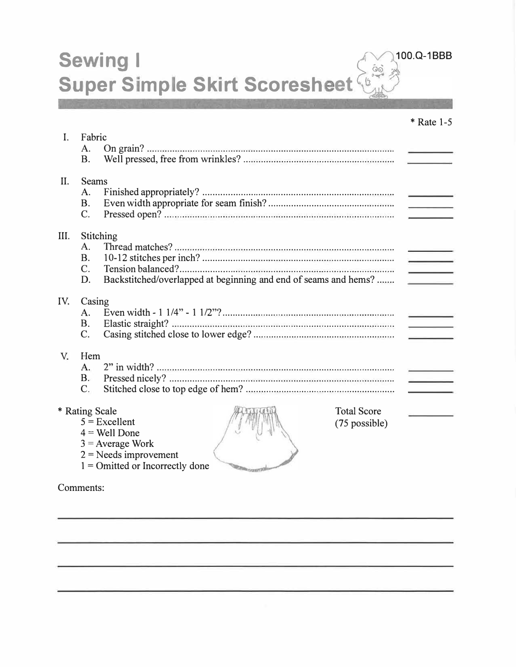**Sewing I** Super Simple Skirt Scoresheet

100.Q-1BBB

|                |                                                                       | $*$ Rate 1-5                                                                                                                                                                                                                         |
|----------------|-----------------------------------------------------------------------|--------------------------------------------------------------------------------------------------------------------------------------------------------------------------------------------------------------------------------------|
| $\mathbf{I}$ . | Fabric                                                                |                                                                                                                                                                                                                                      |
|                | A.<br><b>B.</b>                                                       |                                                                                                                                                                                                                                      |
| II.            | <b>Seams</b><br>A.<br><b>B.</b><br>C.                                 | <b>Contract Contract Contract Contract Contract Contract Contract Contract Contract Contract Contract Contract Contract Contract Contract Contract Contract Contract Contract Contract Contract Contract Contract Contract Contr</b> |
| III.           | Stitching                                                             |                                                                                                                                                                                                                                      |
|                | A.                                                                    |                                                                                                                                                                                                                                      |
|                | <b>B.</b><br>$C_{\cdot}$                                              | production and<br>$\sim$                                                                                                                                                                                                             |
|                | Backstitched/overlapped at beginning and end of seams and hems?<br>D. |                                                                                                                                                                                                                                      |
| IV.            | Casing                                                                |                                                                                                                                                                                                                                      |
|                | A.<br><b>B.</b>                                                       |                                                                                                                                                                                                                                      |
|                | $\mathcal{C}$ .                                                       |                                                                                                                                                                                                                                      |
| V.             | Hem                                                                   |                                                                                                                                                                                                                                      |
|                | $A_{\cdot}$                                                           |                                                                                                                                                                                                                                      |
|                | B <sub>r</sub><br>$C_{\cdot}$                                         | and the company of                                                                                                                                                                                                                   |
|                | <b>Total Score</b><br>* Rating Scale                                  |                                                                                                                                                                                                                                      |
|                | $5 =$ Excellent<br>(75 possible)                                      |                                                                                                                                                                                                                                      |
|                | $4 =$ Well Done<br>$3$ = Average Work                                 |                                                                                                                                                                                                                                      |
|                | $2$ = Needs improvement                                               |                                                                                                                                                                                                                                      |
|                | $1 =$ Omitted or Incorrectly done                                     |                                                                                                                                                                                                                                      |

Comments: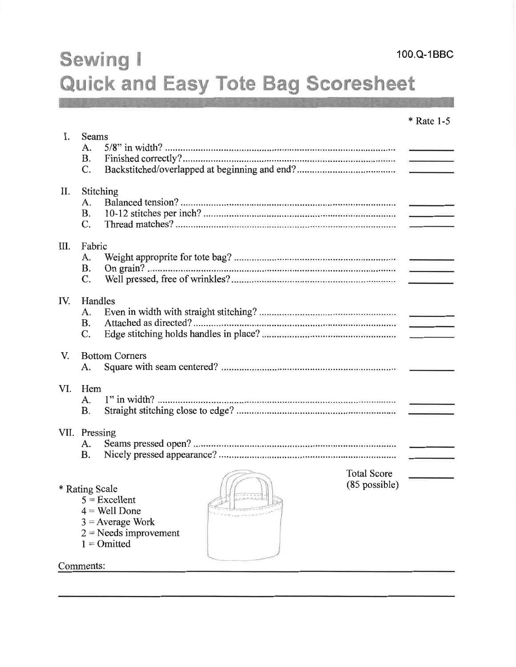# Sewing I Quick and Easy Tote Bag Scoresheet

|      |                                             |                                                                                                      |                                       | * Rate 1-5                        |  |
|------|---------------------------------------------|------------------------------------------------------------------------------------------------------|---------------------------------------|-----------------------------------|--|
| I.   | <b>Seams</b><br>A.<br><b>B.</b><br>C.       |                                                                                                      |                                       |                                   |  |
| П.   | Stitching<br>A.<br><b>B.</b><br>$C_{\cdot}$ |                                                                                                      |                                       |                                   |  |
| III. | Fabric<br>A.<br><b>B.</b><br>$\mathbf{C}$ . |                                                                                                      |                                       | <b>Contract Contract Contract</b> |  |
| IV.  | Handles<br>A.<br><b>B.</b><br>C.            |                                                                                                      |                                       |                                   |  |
| V.   | A.                                          | <b>Bottom Corners</b>                                                                                |                                       |                                   |  |
| VI.  | Hem<br>A.<br><b>B.</b>                      |                                                                                                      |                                       |                                   |  |
|      | VII. Pressing<br>A.<br><b>B.</b>            |                                                                                                      |                                       | the company of the company        |  |
|      | * Rating Scale<br>Comments <sup>.</sup>     | $5 =$ Excellent<br>$4$ = Well Done<br>$3$ = Average Work<br>$2$ = Needs improvement<br>$1 = Omitted$ | <b>Total Score</b><br>$(85$ possible) |                                   |  |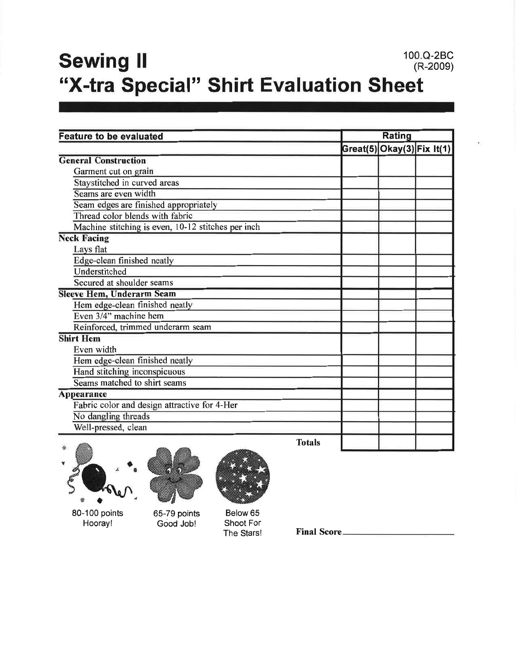### 100.Q-2BC **Sewing II**  $(R-2009)$ "X-tra Special" Shirt Evaluation Sheet

| <b>Feature to be evaluated</b>                     |  | Rating |                            |  |
|----------------------------------------------------|--|--------|----------------------------|--|
|                                                    |  |        | Great(5) Okay(3) Fix It(1) |  |
| <b>General Construction</b>                        |  |        |                            |  |
| Garment cut on grain                               |  |        |                            |  |
| Staystitched in curved areas                       |  |        |                            |  |
| Seams are even width                               |  |        |                            |  |
| Seam edges are finished appropriately              |  |        |                            |  |
| Thread color blends with fabric                    |  |        |                            |  |
| Machine stitching is even, 10-12 stitches per inch |  |        |                            |  |
| <b>Neck Facing</b>                                 |  |        |                            |  |
| Lays flat                                          |  |        |                            |  |
| Edge-clean finished neatly                         |  |        |                            |  |
| Understitched                                      |  |        |                            |  |
| Secured at shoulder seams                          |  |        |                            |  |
| <b>Sleeve Hem, Underarm Seam</b>                   |  |        |                            |  |
| Hem edge-clean finished neatly                     |  |        |                            |  |
| Even 3/4" machine hem                              |  |        |                            |  |
| Reinforced, trimmed underarm seam                  |  |        |                            |  |
| <b>Shirt Hem</b>                                   |  |        |                            |  |
| Even width                                         |  |        |                            |  |
| Hem edge-clean finished neatly                     |  |        |                            |  |
| Hand stitching inconspicuous                       |  |        |                            |  |
| Seams matched to shirt seams                       |  |        |                            |  |
| Appearance                                         |  |        |                            |  |
| Fabric color and design attractive for 4-Her       |  |        |                            |  |
| No dangling threads                                |  |        |                            |  |
| Well-pressed, clean                                |  |        |                            |  |
| Totale<br><b>CANCEL</b>                            |  |        |                            |  |

80-100 points Hooray!





Below 65 Shoot For

The Stars!

**Final Score\_**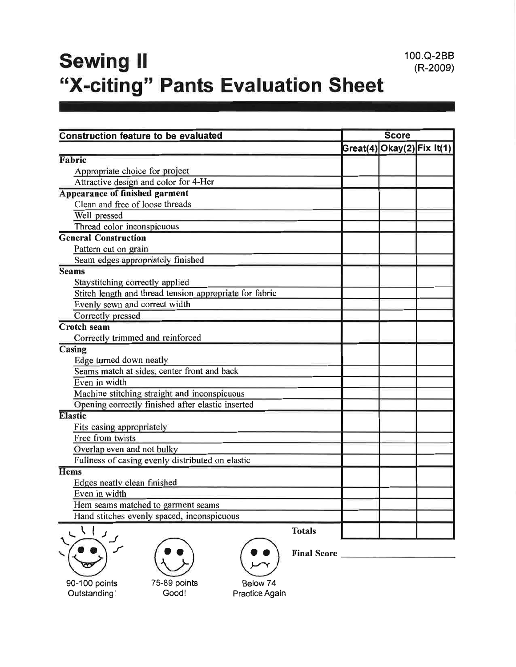# **Sewing II** "X-citing" Pants Evaluation Sheet

100.Q-2BB

 $(R-2009)$ 

| <b>Construction feature to be evaluated</b>             | <b>Score</b> |                            |  |
|---------------------------------------------------------|--------------|----------------------------|--|
|                                                         |              | Great(4) Okay(2) Fix It(1) |  |
| Fabric                                                  |              |                            |  |
| Appropriate choice for project                          |              |                            |  |
| Attractive design and color for 4-Her                   |              |                            |  |
| <b>Appearance of finished garment</b>                   |              |                            |  |
| Clean and free of loose threads                         |              |                            |  |
| Well pressed                                            |              |                            |  |
| Thread color inconspicuous                              |              |                            |  |
| <b>General Construction</b>                             |              |                            |  |
| Pattern cut on grain                                    |              |                            |  |
| Seam edges appropriately finished                       |              |                            |  |
| <b>Seams</b>                                            |              |                            |  |
| Staystitching correctly applied                         |              |                            |  |
| Stitch length and thread tension appropriate for fabric |              |                            |  |
| Evenly sewn and correct width                           |              |                            |  |
| Correctly pressed                                       |              |                            |  |
| <b>Crotch seam</b>                                      |              |                            |  |
| Correctly trimmed and reinforced                        |              |                            |  |
| Casing                                                  |              |                            |  |
| Edge turned down neatly                                 |              |                            |  |
| Seams match at sides, center front and back             |              |                            |  |
| Even in width                                           |              |                            |  |
| Machine stitching straight and inconspicuous            |              |                            |  |
| Opening correctly finished after elastic inserted       |              |                            |  |
| <b>Elastic</b>                                          |              |                            |  |
| Fits casing appropriately                               |              |                            |  |
| Free from twists                                        |              |                            |  |
| Overlap even and not bulky                              |              |                            |  |
| Fullness of casing evenly distributed on elastic        |              |                            |  |
| Hems                                                    |              |                            |  |
| Edges neatly clean finished                             |              |                            |  |
| Even in width                                           |              |                            |  |
| Hem seams matched to garment seams                      |              |                            |  |
| Hand stitches evenly spaced, inconspicuous              |              |                            |  |
| こくし<br><b>Totals</b><br>$J$ .                           |              |                            |  |





Good!

90-100 points Outstanding!

Below 74 Practice Again

Final Score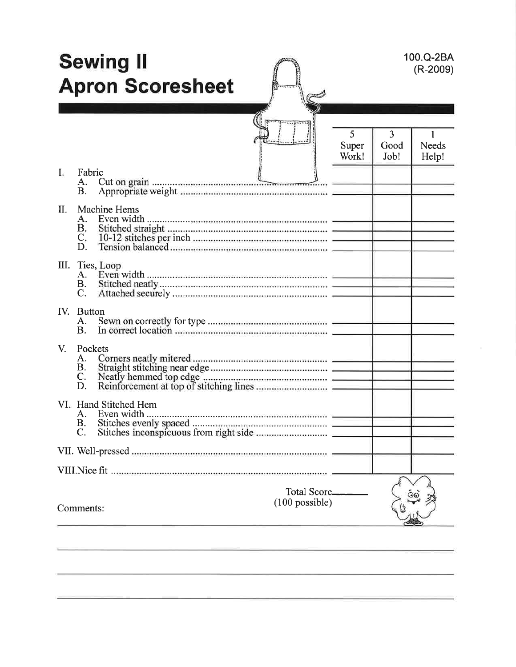|             |                                          | <b>Sewing II</b><br><b>Apron Scoresheet</b> |                                          |                     |                   | 100.Q-2BA<br>$(R-2009)$ |
|-------------|------------------------------------------|---------------------------------------------|------------------------------------------|---------------------|-------------------|-------------------------|
| I:          | Fabric<br>А.<br><b>B.</b>                |                                             |                                          | 5<br>Super<br>Work! | 3<br>Good<br>Job! | <b>Needs</b><br>Help!   |
| II.         | А.<br><b>B.</b><br>$C_{\star}$<br>D.     | Machine Hems                                |                                          |                     |                   |                         |
|             | III. Ties, Loop<br>A.<br><b>B.</b><br>C. |                                             |                                          |                     |                   |                         |
|             | IV. Button<br>А.<br><b>B.</b>            |                                             |                                          |                     |                   |                         |
| $V_{\cdot}$ | Pockets<br>A.<br><b>B.</b><br>C.<br>D.   |                                             |                                          |                     |                   |                         |
|             | C.                                       | VI. Hand Stitched Hem                       |                                          |                     |                   |                         |
|             |                                          |                                             |                                          |                     |                   |                         |
|             | Comments:                                |                                             | <b>Total Score_</b><br>$(100)$ possible) |                     |                   |                         |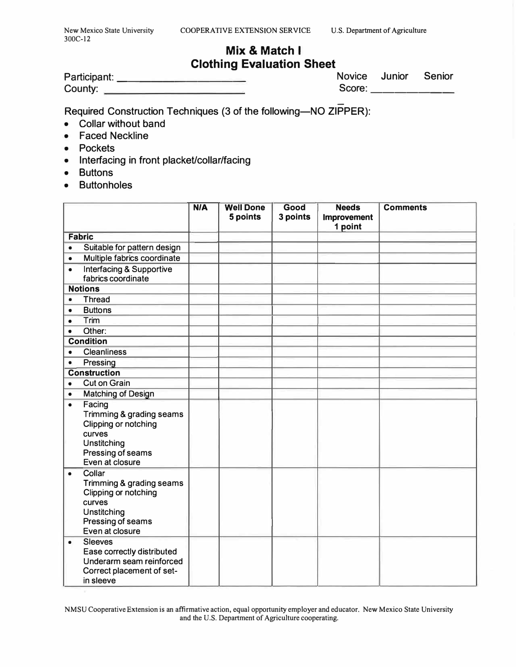$\overline{a}$ 

### **Mix & Match I Clothing Evaluation Sheet**

| Participant: |  |  |
|--------------|--|--|
| County:      |  |  |

Novice Junior Senior Score:

Required Construction Techniques (3 of the following—NO ZIPPER):

- Collar without band
- Faced Neckline
- Pockets
- Interfacing in front placket/collar/facing
- Buttons
- Buttonholes

|           |                                                                                                                             | N/A | <b>Well Done</b><br>5 points | Good<br>3 points | <b>Needs</b><br><b>Improvement</b><br>1 point | <b>Comments</b> |
|-----------|-----------------------------------------------------------------------------------------------------------------------------|-----|------------------------------|------------------|-----------------------------------------------|-----------------|
|           | <b>Fabric</b>                                                                                                               |     |                              |                  |                                               |                 |
| $\bullet$ | Suitable for pattern design                                                                                                 |     |                              |                  |                                               |                 |
| $\bullet$ | Multiple fabrics coordinate                                                                                                 |     |                              |                  |                                               |                 |
| $\bullet$ | <b>Interfacing &amp; Supportive</b><br>fabrics coordinate                                                                   |     |                              |                  |                                               |                 |
|           | <b>Notions</b>                                                                                                              |     |                              |                  |                                               |                 |
| $\bullet$ | <b>Thread</b>                                                                                                               |     |                              |                  |                                               |                 |
| $\bullet$ | <b>Buttons</b>                                                                                                              |     |                              |                  |                                               |                 |
| $\bullet$ | Trim                                                                                                                        |     |                              |                  |                                               |                 |
| $\bullet$ | Other:                                                                                                                      |     |                              |                  |                                               |                 |
|           | <b>Condition</b>                                                                                                            |     |                              |                  |                                               |                 |
|           | <b>Cleanliness</b>                                                                                                          |     |                              |                  |                                               |                 |
| $\bullet$ | Pressing                                                                                                                    |     |                              |                  |                                               |                 |
|           | <b>Construction</b>                                                                                                         |     |                              |                  |                                               |                 |
| $\bullet$ | <b>Cut on Grain</b>                                                                                                         |     |                              |                  |                                               |                 |
| $\bullet$ | <b>Matching of Design</b>                                                                                                   |     |                              |                  |                                               |                 |
| $\bullet$ | Facing<br>Trimming & grading seams<br>Clipping or notching<br>curves<br>Unstitching<br>Pressing of seams<br>Even at closure |     |                              |                  |                                               |                 |
| $\bullet$ | Collar<br>Trimming & grading seams<br>Clipping or notching<br>curves<br>Unstitching<br>Pressing of seams<br>Even at closure |     |                              |                  |                                               |                 |
| $\bullet$ | <b>Sleeves</b><br>Ease correctly distributed<br>Underarm seam reinforced<br>Correct placement of set-<br>in sleeve          |     |                              |                  |                                               |                 |

**NMSU Cooperative Extension is an affirmative action, equal opportunity employer and educator. New Mexico State University and the U.S. Department of Agriculture cooperating.**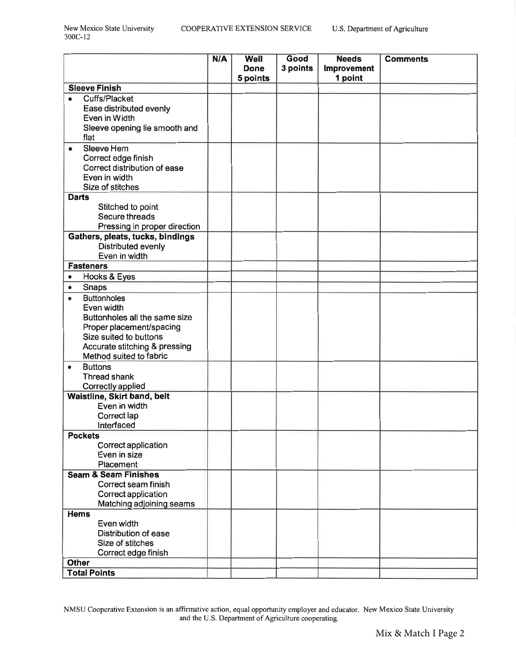|                                                                  | N/A | <b>Well</b><br><b>Done</b> | Good     | <b>Needs</b>           | <b>Comments</b> |
|------------------------------------------------------------------|-----|----------------------------|----------|------------------------|-----------------|
|                                                                  |     | 5 points                   | 3 points | Improvement<br>1 point |                 |
| <b>Sleeve Finish</b>                                             |     |                            |          |                        |                 |
| Cuffs/Placket<br>$\bullet$                                       |     |                            |          |                        |                 |
| Ease distributed evenly                                          |     |                            |          |                        |                 |
| Even in Width                                                    |     |                            |          |                        |                 |
| Sleeve opening lie smooth and                                    |     |                            |          |                        |                 |
| flat<br>Sleeve Hem                                               |     |                            |          |                        |                 |
| $\bullet$<br>Correct edge finish                                 |     |                            |          |                        |                 |
| Correct distribution of ease                                     |     |                            |          |                        |                 |
| Even in width                                                    |     |                            |          |                        |                 |
| Size of stitches                                                 |     |                            |          |                        |                 |
| <b>Darts</b>                                                     |     |                            |          |                        |                 |
| Stitched to point                                                |     |                            |          |                        |                 |
| Secure threads                                                   |     |                            |          |                        |                 |
| Pressing in proper direction<br>Gathers, pleats, tucks, bindings |     |                            |          |                        |                 |
| Distributed evenly                                               |     |                            |          |                        |                 |
| Even in width                                                    |     |                            |          |                        |                 |
| <b>Fasteners</b>                                                 |     |                            |          |                        |                 |
| Hooks & Eyes                                                     |     |                            |          |                        |                 |
| Snaps<br>$\bullet$                                               |     |                            |          |                        |                 |
| <b>Buttonholes</b>                                               |     |                            |          |                        |                 |
| Even width                                                       |     |                            |          |                        |                 |
| Buttonholes all the same size<br>Proper placement/spacing        |     |                            |          |                        |                 |
| Size suited to buttons                                           |     |                            |          |                        |                 |
| Accurate stitching & pressing                                    |     |                            |          |                        |                 |
| Method suited to fabric                                          |     |                            |          |                        |                 |
| <b>Buttons</b><br>$\bullet$                                      |     |                            |          |                        |                 |
| Thread shank                                                     |     |                            |          |                        |                 |
| Correctly applied                                                |     |                            |          |                        |                 |
| Waistline, Skirt band, belt<br>Even in width                     |     |                            |          |                        |                 |
| Correct lap                                                      |     |                            |          |                        |                 |
| Interfaced                                                       |     |                            |          |                        |                 |
| <b>Pockets</b>                                                   |     |                            |          |                        |                 |
| Correct application                                              |     |                            |          |                        |                 |
| Even in size                                                     |     |                            |          |                        |                 |
| Placement<br><b>Seam &amp; Seam Finishes</b>                     |     |                            |          |                        |                 |
| Correct seam finish                                              |     |                            |          |                        |                 |
| Correct application                                              |     |                            |          |                        |                 |
| Matching adjoining seams                                         |     |                            |          |                        |                 |
| <b>Hems</b>                                                      |     |                            |          |                        |                 |
| Even width                                                       |     |                            |          |                        |                 |
| Distribution of ease                                             |     |                            |          |                        |                 |
| Size of stitches<br>Correct edge finish                          |     |                            |          |                        |                 |
| <b>Other</b>                                                     |     |                            |          |                        |                 |
| <b>Total Points</b>                                              |     |                            |          |                        |                 |

NMSU Cooperative Extension is an affirmative action, equal opportunity employer and educator. New Mexico State University<br>and the U.S. Department of Agriculture cooperating.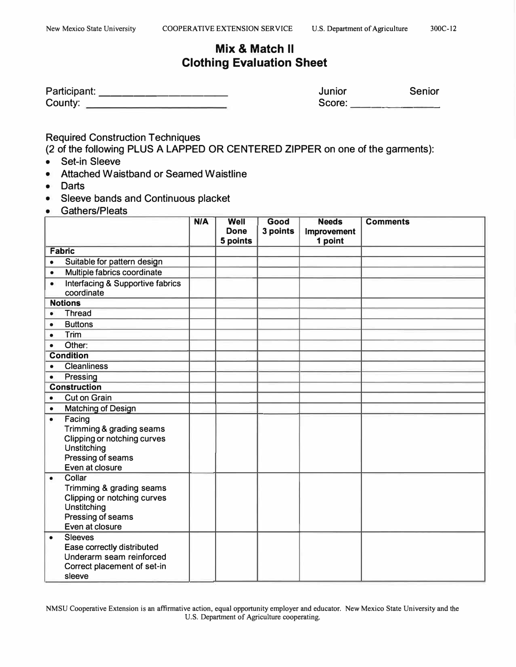### **Mix & Match II Clothing Evaluation Sheet**

| Participant: | Junior | Senior |
|--------------|--------|--------|
| County:      | Score: |        |

Required Construction Techniques

(2 of the following PLUS A LAPPED OR CENTERED ZIPPER on one of the garments):

- Set-in Sleeve
- Attached Waistband or Seamed Waistline
- Darts
- Sleeve bands and Continuous placket
- Gathers/Pleats

|           |                                                                                                                          | N/A | Well<br><b>Done</b><br>5 points | Good<br>3 points | <b>Needs</b><br>Improvement<br>1 point | <b>Comments</b> |
|-----------|--------------------------------------------------------------------------------------------------------------------------|-----|---------------------------------|------------------|----------------------------------------|-----------------|
|           | <b>Fabric</b>                                                                                                            |     |                                 |                  |                                        |                 |
| $\bullet$ | Suitable for pattern design                                                                                              |     |                                 |                  |                                        |                 |
| $\bullet$ | Multiple fabrics coordinate                                                                                              |     |                                 |                  |                                        |                 |
| $\bullet$ | <b>Interfacing &amp; Supportive fabrics</b><br>coordinate                                                                |     |                                 |                  |                                        |                 |
|           | <b>Notions</b>                                                                                                           |     |                                 |                  |                                        |                 |
| ٠         | <b>Thread</b>                                                                                                            |     |                                 |                  |                                        |                 |
| $\bullet$ | <b>Buttons</b>                                                                                                           |     |                                 |                  |                                        |                 |
| $\bullet$ | Trim                                                                                                                     |     |                                 |                  |                                        |                 |
| $\bullet$ | Other:                                                                                                                   |     |                                 |                  |                                        |                 |
|           | <b>Condition</b>                                                                                                         |     |                                 |                  |                                        |                 |
| $\bullet$ | <b>Cleanliness</b>                                                                                                       |     |                                 |                  |                                        |                 |
| $\bullet$ | Pressing                                                                                                                 |     |                                 |                  |                                        |                 |
|           | <b>Construction</b>                                                                                                      |     |                                 |                  |                                        |                 |
| $\bullet$ | <b>Cut on Grain</b>                                                                                                      |     |                                 |                  |                                        |                 |
| $\bullet$ | <b>Matching of Design</b>                                                                                                |     |                                 |                  |                                        |                 |
| $\bullet$ | Facing<br>Trimming & grading seams<br>Clipping or notching curves<br>Unstitching<br>Pressing of seams<br>Even at closure |     |                                 |                  |                                        |                 |
| $\bullet$ | Collar<br>Trimming & grading seams<br>Clipping or notching curves<br>Unstitching<br>Pressing of seams<br>Even at closure |     |                                 |                  |                                        |                 |
| $\bullet$ | <b>Sleeves</b><br>Ease correctly distributed<br>Underarm seam reinforced<br>Correct placement of set-in<br>sleeve        |     |                                 |                  |                                        |                 |

**NMSU Cooperative Extension is an affirmative action, equal opportunity employer and educator. New Mexico State University and the U.S. Department of Agriculture cooperating.**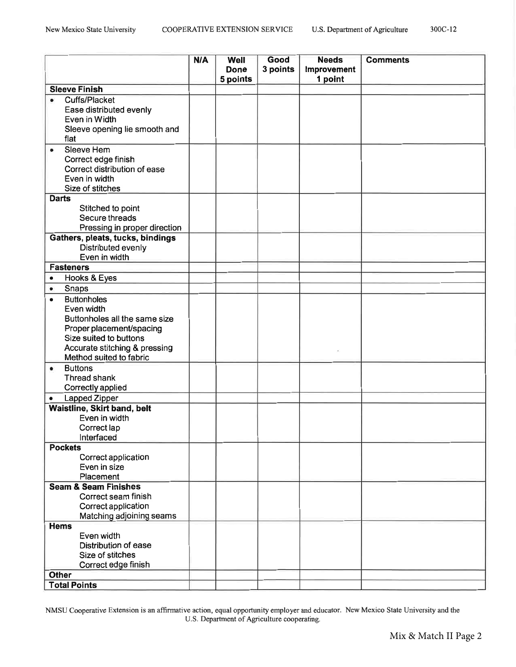|           |                                                                                                        | N/A | Well             | Good     | <b>Needs</b>           | <b>Comments</b> |
|-----------|--------------------------------------------------------------------------------------------------------|-----|------------------|----------|------------------------|-----------------|
|           |                                                                                                        |     | Done<br>5 points | 3 points | Improvement<br>1 point |                 |
|           | <b>Sleeve Finish</b>                                                                                   |     |                  |          |                        |                 |
|           | Cuffs/Placket<br>Ease distributed evenly<br>Even in Width<br>Sleeve opening lie smooth and             |     |                  |          |                        |                 |
|           | flat                                                                                                   |     |                  |          |                        |                 |
| ٠         | Sleeve Hem<br>Correct edge finish<br>Correct distribution of ease<br>Even in width<br>Size of stitches |     |                  |          |                        |                 |
|           | <b>Darts</b>                                                                                           |     |                  |          |                        |                 |
|           | Stitched to point                                                                                      |     |                  |          |                        |                 |
|           | Secure threads                                                                                         |     |                  |          |                        |                 |
|           | Pressing in proper direction                                                                           |     |                  |          |                        |                 |
|           | Gathers, pleats, tucks, bindings<br>Distributed evenly<br>Even in width                                |     |                  |          |                        |                 |
|           | <b>Fasteners</b>                                                                                       |     |                  |          |                        |                 |
| $\bullet$ | Hooks & Eyes                                                                                           |     |                  |          |                        |                 |
| $\bullet$ | Snaps                                                                                                  |     |                  |          |                        |                 |
|           | <b>Buttonholes</b>                                                                                     |     |                  |          |                        |                 |
|           | Even width                                                                                             |     |                  |          |                        |                 |
|           | Buttonholes all the same size                                                                          |     |                  |          |                        |                 |
|           | Proper placement/spacing                                                                               |     |                  |          |                        |                 |
|           | Size suited to buttons                                                                                 |     |                  |          |                        |                 |
|           | Accurate stitching & pressing                                                                          |     |                  |          |                        |                 |
|           | Method suited to fabric                                                                                |     |                  |          |                        |                 |
| ٠         | <b>Buttons</b>                                                                                         |     |                  |          |                        |                 |
|           | Thread shank                                                                                           |     |                  |          |                        |                 |
|           | Correctly applied                                                                                      |     |                  |          |                        |                 |
| $\bullet$ | Lapped Zipper                                                                                          |     |                  |          |                        |                 |
|           | Waistline, Skirt band, belt                                                                            |     |                  |          |                        |                 |
|           | Even in width                                                                                          |     |                  |          |                        |                 |
|           | Correct lap<br>Interfaced                                                                              |     |                  |          |                        |                 |
|           | <b>Pockets</b>                                                                                         |     |                  |          |                        |                 |
|           | Correct application                                                                                    |     |                  |          |                        |                 |
|           | Even in size                                                                                           |     |                  |          |                        |                 |
|           | Placement                                                                                              |     |                  |          |                        |                 |
|           | <b>Seam &amp; Seam Finishes</b>                                                                        |     |                  |          |                        |                 |
|           | Correct seam finish                                                                                    |     |                  |          |                        |                 |
|           | Correct application                                                                                    |     |                  |          |                        |                 |
|           | Matching adjoining seams                                                                               |     |                  |          |                        |                 |
|           | <b>Hems</b>                                                                                            |     |                  |          |                        |                 |
|           | Even width                                                                                             |     |                  |          |                        |                 |
|           | Distribution of ease                                                                                   |     |                  |          |                        |                 |
|           | Size of stitches                                                                                       |     |                  |          |                        |                 |
|           | Correct edge finish<br><b>Other</b>                                                                    |     |                  |          |                        |                 |
|           | <b>Total Points</b>                                                                                    |     |                  |          |                        |                 |
|           |                                                                                                        |     |                  |          |                        |                 |

NMSU Cooperative Extension is an affirmative action, equal opportunity employer and educator. New Mexico State University and the U.S. Department of Agriculture cooperating.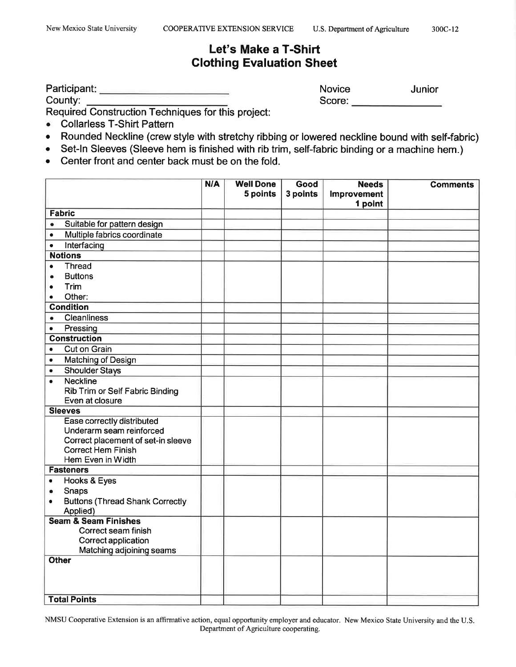### Let's Make a T-Shirt **Clothing Evaluation Sheet**

County:

Novice Junior Score: **Example 2019** 

Required Construction Techniques for this project:

- $\bullet$ **Collarless T-Shirt Pattern**
- Rounded Neckline (crew style with stretchy ribbing or lowered neckline bound with self-fabric)  $\bullet$
- Set-In Sleeves (Sleeve hem is finished with rib trim, self-fabric binding or a machine hem.)  $\bullet$
- Center front and center back must be on the fold.  $\bullet$

|                                                     | N/A | <b>Well Done</b><br>5 points | Good<br>3 points | <b>Needs</b><br><b>Improvement</b> | <b>Comments</b> |
|-----------------------------------------------------|-----|------------------------------|------------------|------------------------------------|-----------------|
|                                                     |     |                              |                  | 1 point                            |                 |
| <b>Fabric</b>                                       |     |                              |                  |                                    |                 |
| Suitable for pattern design<br>$\bullet$            |     |                              |                  |                                    |                 |
| Multiple fabrics coordinate<br>$\bullet$            |     |                              |                  |                                    |                 |
| Interfacing<br>$\bullet$                            |     |                              |                  |                                    |                 |
| <b>Notions</b>                                      |     |                              |                  |                                    |                 |
| <b>Thread</b><br>$\bullet$                          |     |                              |                  |                                    |                 |
| <b>Buttons</b>                                      |     |                              |                  |                                    |                 |
| Trim                                                |     |                              |                  |                                    |                 |
| Other:                                              |     |                              |                  |                                    |                 |
| <b>Condition</b>                                    |     |                              |                  |                                    |                 |
| <b>Cleanliness</b><br>٠                             |     |                              |                  |                                    |                 |
| Pressing<br>$\bullet$                               |     |                              |                  |                                    |                 |
| <b>Construction</b>                                 |     |                              |                  |                                    |                 |
| <b>Cut on Grain</b><br>$\bullet$                    |     |                              |                  |                                    |                 |
| <b>Matching of Design</b><br>$\bullet$              |     |                              |                  |                                    |                 |
| <b>Shoulder Stays</b><br>$\bullet$                  |     |                              |                  |                                    |                 |
| <b>Neckline</b><br>$\bullet$                        |     |                              |                  |                                    |                 |
| Rib Trim or Self Fabric Binding                     |     |                              |                  |                                    |                 |
| Even at closure                                     |     |                              |                  |                                    |                 |
| <b>Sleeves</b>                                      |     |                              |                  |                                    |                 |
| Ease correctly distributed                          |     |                              |                  |                                    |                 |
| Underarm seam reinforced                            |     |                              |                  |                                    |                 |
| Correct placement of set-in sleeve                  |     |                              |                  |                                    |                 |
| <b>Correct Hem Finish</b>                           |     |                              |                  |                                    |                 |
| Hem Even in Width                                   |     |                              |                  |                                    |                 |
| <b>Fasteners</b>                                    |     |                              |                  |                                    |                 |
| Hooks & Eyes<br>$\bullet$                           |     |                              |                  |                                    |                 |
| Snaps<br>۰                                          |     |                              |                  |                                    |                 |
| <b>Buttons (Thread Shank Correctly</b><br>$\bullet$ |     |                              |                  |                                    |                 |
| Applied)<br><b>Seam &amp; Seam Finishes</b>         |     |                              |                  |                                    |                 |
| Correct seam finish                                 |     |                              |                  |                                    |                 |
| Correct application                                 |     |                              |                  |                                    |                 |
| Matching adjoining seams                            |     |                              |                  |                                    |                 |
| <b>Other</b>                                        |     |                              |                  |                                    |                 |
|                                                     |     |                              |                  |                                    |                 |
|                                                     |     |                              |                  |                                    |                 |
|                                                     |     |                              |                  |                                    |                 |
| <b>Total Points</b>                                 |     |                              |                  |                                    |                 |

NMSU Cooperative Extension is an affirmative action, equal opportunity employer and educator. New Mexico State University and the U.S. Department of Agriculture cooperating.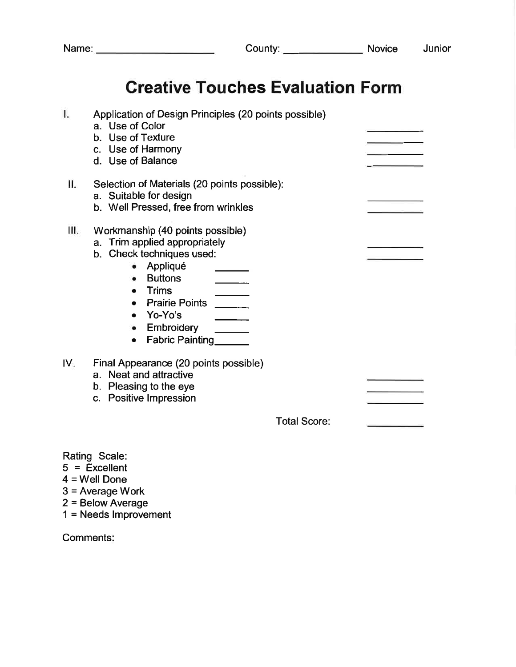# **Creative Touches Evaluation Form**

| I.  | Application of Design Principles (20 points possible)<br>a. Use of Color<br>b. Use of Texture<br>c. Use of Harmony<br>d. Use of Balance                                                                                                        |  |
|-----|------------------------------------------------------------------------------------------------------------------------------------------------------------------------------------------------------------------------------------------------|--|
| П.  | Selection of Materials (20 points possible):<br>a. Suitable for design<br>b. Well Pressed, free from wrinkles                                                                                                                                  |  |
| Ш.  | Workmanship (40 points possible)<br>a. Trim applied appropriately<br>Check techniques used:<br>b.<br>Appliqué<br><b>Buttons</b><br>Trims<br><b>Prairie Points</b><br>Yo-Yo's<br>$\bullet$<br>Embroidery<br><b>Fabric Painting</b><br>$\bullet$ |  |
| IV. | Final Appearance (20 points possible)<br>a. Neat and attractive<br>b. Pleasing to the eye<br>c. Positive Impression                                                                                                                            |  |
|     | <b>Total Score:</b>                                                                                                                                                                                                                            |  |

Rating Scale:

- $5 =$  Excellent
- $4 =$  Well Done
- $3$  = Average Work
- $2 =$  Below Average
- $1 =$  Needs Improvement

Comments: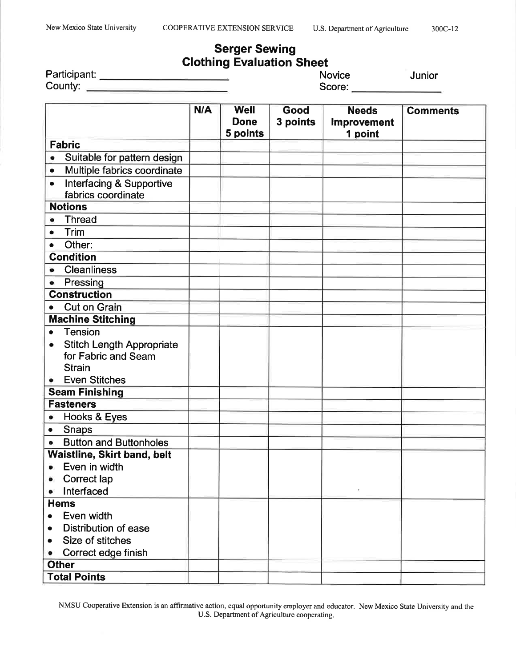### **Serger Sewing Clothing Evaluation Sheet**

| Participant: |  |
|--------------|--|
| County:      |  |

| <b>Novice</b> |  |
|---------------|--|
| Score:        |  |

Junior

|              |                                                                          | N/A | <b>Well</b><br><b>Done</b><br>5 points | Good<br>3 points | <b>Needs</b><br><b>Improvement</b><br>1 point | <b>Comments</b> |
|--------------|--------------------------------------------------------------------------|-----|----------------------------------------|------------------|-----------------------------------------------|-----------------|
|              | <b>Fabric</b>                                                            |     |                                        |                  |                                               |                 |
| ۰            | Suitable for pattern design                                              |     |                                        |                  |                                               |                 |
| $\bullet$    | Multiple fabrics coordinate                                              |     |                                        |                  |                                               |                 |
| $\bullet$    | <b>Interfacing &amp; Supportive</b><br>fabrics coordinate                |     |                                        |                  |                                               |                 |
|              | <b>Notions</b>                                                           |     |                                        |                  |                                               |                 |
| $\bullet$    | <b>Thread</b>                                                            |     |                                        |                  |                                               |                 |
| $\bullet$    | Trim                                                                     |     |                                        |                  |                                               |                 |
| $\bullet$    | Other:                                                                   |     |                                        |                  |                                               |                 |
|              | <b>Condition</b>                                                         |     |                                        |                  |                                               |                 |
| $\bullet$    | <b>Cleanliness</b>                                                       |     |                                        |                  |                                               |                 |
| $\bullet$    | Pressing                                                                 |     |                                        |                  |                                               |                 |
|              | <b>Construction</b>                                                      |     |                                        |                  |                                               |                 |
| $\bullet$    | <b>Cut on Grain</b>                                                      |     |                                        |                  |                                               |                 |
|              | <b>Machine Stitching</b>                                                 |     |                                        |                  |                                               |                 |
| $\bullet$    | <b>Tension</b>                                                           |     |                                        |                  |                                               |                 |
| ۰            | <b>Stitch Length Appropriate</b><br>for Fabric and Seam<br><b>Strain</b> |     |                                        |                  |                                               |                 |
|              | <b>Even Stitches</b>                                                     |     |                                        |                  |                                               |                 |
|              | <b>Seam Finishing</b>                                                    |     |                                        |                  |                                               |                 |
|              | <b>Fasteners</b>                                                         |     |                                        |                  |                                               |                 |
| ۰            | Hooks & Eyes                                                             |     |                                        |                  |                                               |                 |
| $\bullet$    | <b>Snaps</b>                                                             |     |                                        |                  |                                               |                 |
| ۰            | <b>Button and Buttonholes</b>                                            |     |                                        |                  |                                               |                 |
|              | <b>Waistline, Skirt band, belt</b>                                       |     |                                        |                  |                                               |                 |
| $\bullet$    | Even in width                                                            |     |                                        |                  |                                               |                 |
|              | Correct lap                                                              |     |                                        |                  |                                               |                 |
|              | Interfaced                                                               |     |                                        |                  | ×                                             |                 |
|              | <b>Hems</b>                                                              |     |                                        |                  |                                               |                 |
| $\bullet$    | Even width                                                               |     |                                        |                  |                                               |                 |
|              | Distribution of ease                                                     |     |                                        |                  |                                               |                 |
|              | Size of stitches                                                         |     |                                        |                  |                                               |                 |
|              | Correct edge finish                                                      |     |                                        |                  |                                               |                 |
| <b>Other</b> |                                                                          |     |                                        |                  |                                               |                 |
|              | <b>Total Points</b>                                                      |     |                                        |                  |                                               |                 |

NMSU Cooperative Extension is an affirmative action, equal opportunity employer and educator. New Mexico State University and the U.S. Department of Agriculture cooperating.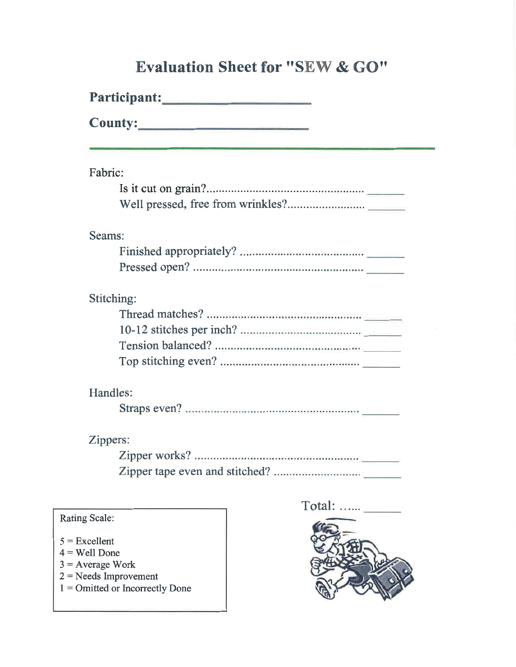# **Evaluation Sheet for "SEW & GO"**

| Fabric:    |  |  |  |  |  |
|------------|--|--|--|--|--|
|            |  |  |  |  |  |
|            |  |  |  |  |  |
| Seams:     |  |  |  |  |  |
|            |  |  |  |  |  |
|            |  |  |  |  |  |
| Stitching: |  |  |  |  |  |
|            |  |  |  |  |  |
|            |  |  |  |  |  |
|            |  |  |  |  |  |
|            |  |  |  |  |  |
| Handles:   |  |  |  |  |  |
|            |  |  |  |  |  |
| Zippers:   |  |  |  |  |  |
|            |  |  |  |  |  |
|            |  |  |  |  |  |
|            |  |  |  |  |  |

### Rating Scale:

- $5 =$  Excellent
- $4 =$  Well Done
- $3 = Average Work$
- $2 =$ Needs Improvement
- $1 =$  Omitted or Incorrectly Done

Total: ......

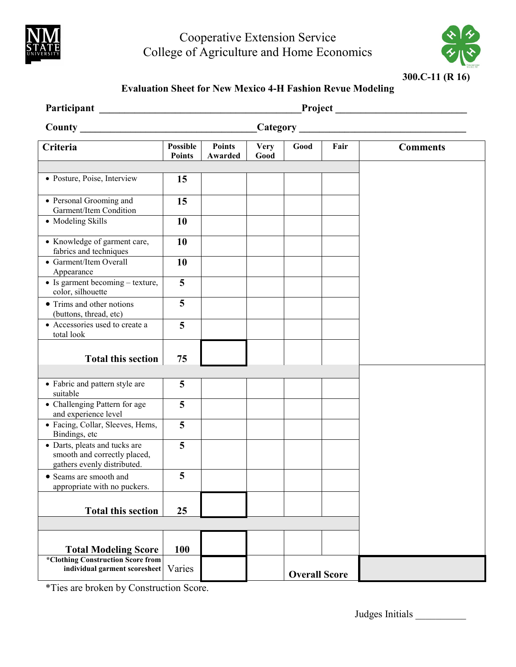

## Cooperative Extension Service College of Agriculture and Home Economics



### **Evaluation Sheet for New Mexico 4-H Fashion Revue Modeling**

| <b>Participant</b>                                                                           |                           |                          |                     |                      |      |                 |
|----------------------------------------------------------------------------------------------|---------------------------|--------------------------|---------------------|----------------------|------|-----------------|
| County Lawrence County                                                                       |                           |                          |                     |                      |      |                 |
| Criteria                                                                                     | Possible<br><b>Points</b> | <b>Points</b><br>Awarded | <b>Very</b><br>Good | Good                 | Fair | <b>Comments</b> |
|                                                                                              |                           |                          |                     |                      |      |                 |
| • Posture, Poise, Interview                                                                  | 15                        |                          |                     |                      |      |                 |
| • Personal Grooming and<br>Garment/Item Condition                                            | 15                        |                          |                     |                      |      |                 |
| • Modeling Skills                                                                            | 10                        |                          |                     |                      |      |                 |
| • Knowledge of garment care,<br>fabrics and techniques                                       | 10                        |                          |                     |                      |      |                 |
| • Garment/Item Overall<br>Appearance                                                         | 10                        |                          |                     |                      |      |                 |
| • Is garment becoming – texture,<br>color, silhouette                                        | $\overline{5}$            |                          |                     |                      |      |                 |
| • Trims and other notions<br>(buttons, thread, etc)                                          | 5                         |                          |                     |                      |      |                 |
| • Accessories used to create a<br>total look                                                 | 5                         |                          |                     |                      |      |                 |
| <b>Total this section</b>                                                                    | 75                        |                          |                     |                      |      |                 |
|                                                                                              |                           |                          |                     |                      |      |                 |
| • Fabric and pattern style are<br>suitable                                                   | 5                         |                          |                     |                      |      |                 |
| • Challenging Pattern for age<br>and experience level                                        | 5                         |                          |                     |                      |      |                 |
| · Facing, Collar, Sleeves, Hems,<br>Bindings, etc                                            | 5                         |                          |                     |                      |      |                 |
| • Darts, pleats and tucks are<br>smooth and correctly placed,<br>gathers evenly distributed. | 5                         |                          |                     |                      |      |                 |
| • Seams are smooth and<br>appropriate with no puckers.                                       | 5                         |                          |                     |                      |      |                 |
| <b>Total this section</b>                                                                    | 25                        |                          |                     |                      |      |                 |
|                                                                                              |                           |                          |                     |                      |      |                 |
| <b>Total Modeling Score</b>                                                                  | 100                       |                          |                     |                      |      |                 |
| *Clothing Construction Score from<br>individual garment scoresheet                           | Varies                    |                          |                     | <b>Overall Score</b> |      |                 |

\*Ties are broken by Construction Score.

Judges Initials \_\_\_\_\_\_\_\_\_\_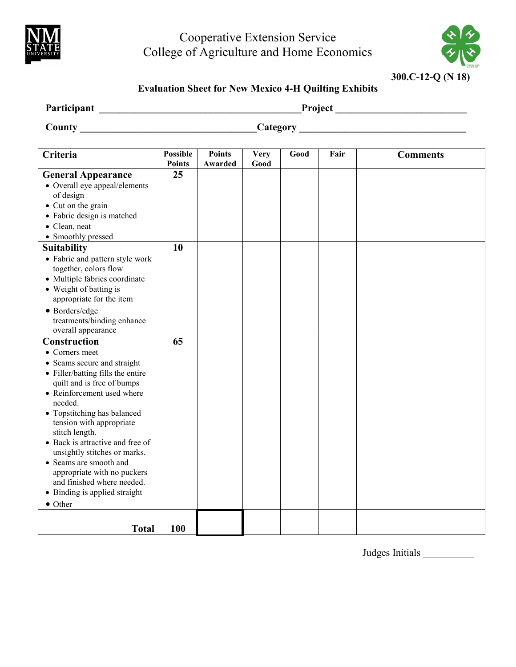

## Cooperative Extension Service College of Agriculture and Home Economics

**300.C-12-Q (N 18)**

### **Evaluation Sheet for New Mexico 4-H Quilting Exhibits**

| Participant | Project         |
|-------------|-----------------|
| County      | <b>Category</b> |

| Criteria                                                                                                                                                                                                                                                                                                                                                                                                                                      | <b>Possible</b><br><b>Points</b> | <b>Points</b><br>Awarded | <b>Very</b><br>Good | Good | Fair | <b>Comments</b> |
|-----------------------------------------------------------------------------------------------------------------------------------------------------------------------------------------------------------------------------------------------------------------------------------------------------------------------------------------------------------------------------------------------------------------------------------------------|----------------------------------|--------------------------|---------------------|------|------|-----------------|
|                                                                                                                                                                                                                                                                                                                                                                                                                                               | 25                               |                          |                     |      |      |                 |
| <b>General Appearance</b><br>• Overall eye appeal/elements<br>of design<br>• Cut on the grain<br>• Fabric design is matched<br>• Clean, neat<br>• Smoothly pressed                                                                                                                                                                                                                                                                            |                                  |                          |                     |      |      |                 |
| <b>Suitability</b>                                                                                                                                                                                                                                                                                                                                                                                                                            | 10                               |                          |                     |      |      |                 |
| • Fabric and pattern style work<br>together, colors flow<br>• Multiple fabrics coordinate<br>• Weight of batting is<br>appropriate for the item<br>• Borders/edge<br>treatments/binding enhance<br>overall appearance                                                                                                                                                                                                                         |                                  |                          |                     |      |      |                 |
| Construction                                                                                                                                                                                                                                                                                                                                                                                                                                  | 65                               |                          |                     |      |      |                 |
| • Corners meet<br>• Seams secure and straight<br>• Filler/batting fills the entire<br>quilt and is free of bumps<br>• Reinforcement used where<br>needed.<br>• Topstitching has balanced<br>tension with appropriate<br>stitch length.<br>• Back is attractive and free of<br>unsightly stitches or marks.<br>• Seams are smooth and<br>appropriate with no puckers<br>and finished where needed.<br>• Binding is applied straight<br>• Other |                                  |                          |                     |      |      |                 |
| <b>Total</b>                                                                                                                                                                                                                                                                                                                                                                                                                                  | 100                              |                          |                     |      |      |                 |

Judges Initials \_\_\_\_\_\_\_\_\_\_